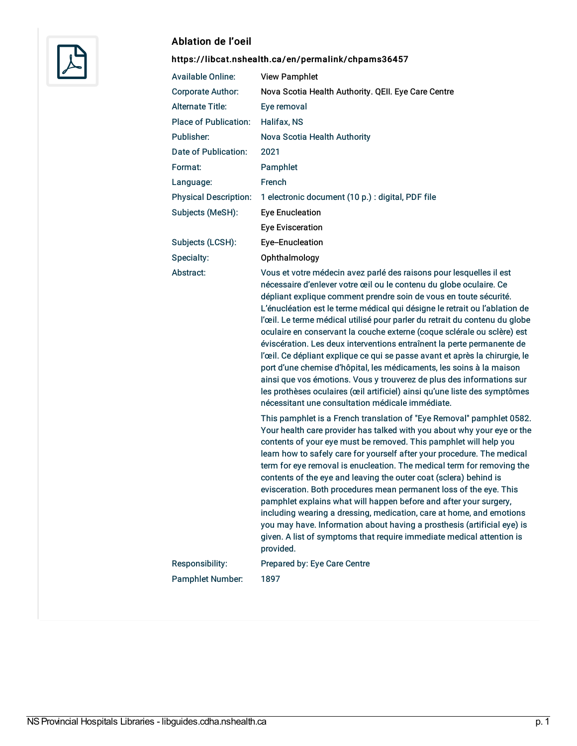

## Ablation de l'oeil

## <https://libcat.nshealth.ca/en/permalink/chpams36457>

| <b>Available Online:</b>     | <b>View Pamphlet</b>                                                                                                                                                                                                                                                                                                                                                                                                                                                                                                                                                                                                                                                                                                                                                                                                                                                                             |
|------------------------------|--------------------------------------------------------------------------------------------------------------------------------------------------------------------------------------------------------------------------------------------------------------------------------------------------------------------------------------------------------------------------------------------------------------------------------------------------------------------------------------------------------------------------------------------------------------------------------------------------------------------------------------------------------------------------------------------------------------------------------------------------------------------------------------------------------------------------------------------------------------------------------------------------|
| Corporate Author:            | Nova Scotia Health Authority. QEII. Eye Care Centre                                                                                                                                                                                                                                                                                                                                                                                                                                                                                                                                                                                                                                                                                                                                                                                                                                              |
| <b>Alternate Title:</b>      | Eye removal                                                                                                                                                                                                                                                                                                                                                                                                                                                                                                                                                                                                                                                                                                                                                                                                                                                                                      |
| <b>Place of Publication:</b> | Halifax, NS                                                                                                                                                                                                                                                                                                                                                                                                                                                                                                                                                                                                                                                                                                                                                                                                                                                                                      |
| Publisher:                   | Nova Scotia Health Authority                                                                                                                                                                                                                                                                                                                                                                                                                                                                                                                                                                                                                                                                                                                                                                                                                                                                     |
| Date of Publication:         | 2021                                                                                                                                                                                                                                                                                                                                                                                                                                                                                                                                                                                                                                                                                                                                                                                                                                                                                             |
| Format:                      | Pamphlet                                                                                                                                                                                                                                                                                                                                                                                                                                                                                                                                                                                                                                                                                                                                                                                                                                                                                         |
| Language:                    | French                                                                                                                                                                                                                                                                                                                                                                                                                                                                                                                                                                                                                                                                                                                                                                                                                                                                                           |
| <b>Physical Description:</b> | 1 electronic document (10 p.) : digital, PDF file                                                                                                                                                                                                                                                                                                                                                                                                                                                                                                                                                                                                                                                                                                                                                                                                                                                |
| Subjects (MeSH):             | <b>Eye Enucleation</b>                                                                                                                                                                                                                                                                                                                                                                                                                                                                                                                                                                                                                                                                                                                                                                                                                                                                           |
|                              | <b>Eye Evisceration</b>                                                                                                                                                                                                                                                                                                                                                                                                                                                                                                                                                                                                                                                                                                                                                                                                                                                                          |
| Subjects (LCSH):             | Eye-Enucleation                                                                                                                                                                                                                                                                                                                                                                                                                                                                                                                                                                                                                                                                                                                                                                                                                                                                                  |
| Specialty:                   | Ophthalmology                                                                                                                                                                                                                                                                                                                                                                                                                                                                                                                                                                                                                                                                                                                                                                                                                                                                                    |
| Abstract:                    | Vous et votre médecin avez parlé des raisons pour lesquelles il est<br>nécessaire d'enlever votre œil ou le contenu du globe oculaire. Ce<br>dépliant explique comment prendre soin de vous en toute sécurité.<br>L'énucléation est le terme médical qui désigne le retrait ou l'ablation de<br>l'œil. Le terme médical utilisé pour parler du retrait du contenu du globe<br>oculaire en conservant la couche externe (coque sclérale ou sclère) est<br>éviscération. Les deux interventions entraînent la perte permanente de<br>l'œil. Ce dépliant explique ce qui se passe avant et après la chirurgie, le<br>port d'une chemise d'hôpital, les médicaments, les soins à la maison<br>ainsi que vos émotions. Vous y trouverez de plus des informations sur<br>les prothèses oculaires (œil artificiel) ainsi qu'une liste des symptômes<br>nécessitant une consultation médicale immédiate. |
|                              | This pamphlet is a French translation of "Eye Removal" pamphlet 0582.<br>Your health care provider has talked with you about why your eye or the<br>contents of your eye must be removed. This pamphlet will help you<br>learn how to safely care for yourself after your procedure. The medical<br>term for eye removal is enucleation. The medical term for removing the<br>contents of the eye and leaving the outer coat (sclera) behind is<br>evisceration. Both procedures mean permanent loss of the eye. This<br>pamphlet explains what will happen before and after your surgery,<br>including wearing a dressing, medication, care at home, and emotions<br>you may have. Information about having a prosthesis (artificial eye) is<br>given. A list of symptoms that require immediate medical attention is<br>provided.                                                              |
| Responsibility:              | Prepared by: Eye Care Centre                                                                                                                                                                                                                                                                                                                                                                                                                                                                                                                                                                                                                                                                                                                                                                                                                                                                     |
| Pamphlet Number:             | 1897                                                                                                                                                                                                                                                                                                                                                                                                                                                                                                                                                                                                                                                                                                                                                                                                                                                                                             |